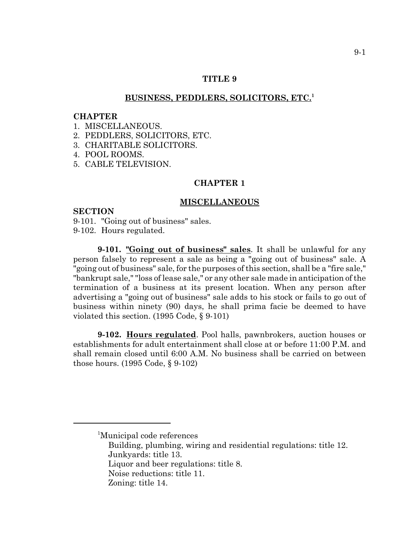### **TITLE 9**

### **BUSINESS, PEDDLERS, SOLICITORS, ETC.<sup>1</sup>**

#### **CHAPTER**

- 1. MISCELLANEOUS.
- 2. PEDDLERS, SOLICITORS, ETC.
- 3. CHARITABLE SOLICITORS.
- 4. POOL ROOMS.
- 5. CABLE TELEVISION.

## **CHAPTER 1**

#### **MISCELLANEOUS**

#### **SECTION**

9-101. "Going out of business" sales. 9-102. Hours regulated.

**9-101. "Going out of business" sales**. It shall be unlawful for any person falsely to represent a sale as being a "going out of business" sale. A "going out of business" sale, for the purposes of this section, shall be a "fire sale," "bankrupt sale," "loss of lease sale," or any other sale made in anticipation of the termination of a business at its present location. When any person after advertising a "going out of business" sale adds to his stock or fails to go out of business within ninety (90) days, he shall prima facie be deemed to have violated this section. (1995 Code, § 9-101)

**9-102. Hours regulated**. Pool halls, pawnbrokers, auction houses or establishments for adult entertainment shall close at or before 11:00 P.M. and shall remain closed until 6:00 A.M. No business shall be carried on between those hours. (1995 Code, § 9-102)

<sup>&</sup>lt;sup>1</sup>Municipal code references

Building, plumbing, wiring and residential regulations: title 12. Junkyards: title 13.

Liquor and beer regulations: title 8.

Noise reductions: title 11.

Zoning: title 14.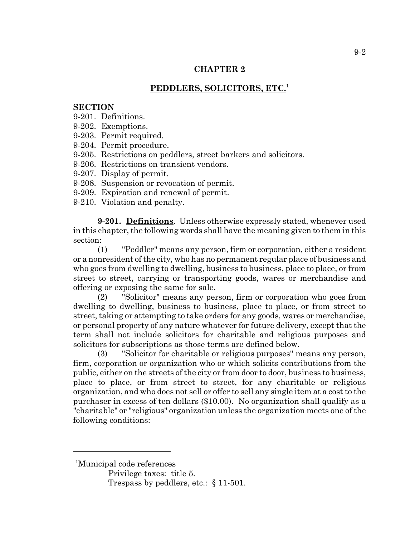# **PEDDLERS, SOLICITORS, ETC.1**

### **SECTION**

- 9-201. Definitions.
- 9-202. Exemptions.
- 9-203. Permit required.
- 9-204. Permit procedure.
- 9-205. Restrictions on peddlers, street barkers and solicitors.
- 9-206. Restrictions on transient vendors.
- 9-207. Display of permit.
- 9-208. Suspension or revocation of permit.
- 9-209. Expiration and renewal of permit.
- 9-210. Violation and penalty.

**9-201. Definitions**. Unless otherwise expressly stated, whenever used in this chapter, the following words shall have the meaning given to them in this section:

(1) "Peddler" means any person, firm or corporation, either a resident or a nonresident of the city, who has no permanent regular place of business and who goes from dwelling to dwelling, business to business, place to place, or from street to street, carrying or transporting goods, wares or merchandise and offering or exposing the same for sale.

(2) "Solicitor" means any person, firm or corporation who goes from dwelling to dwelling, business to business, place to place, or from street to street, taking or attempting to take orders for any goods, wares or merchandise, or personal property of any nature whatever for future delivery, except that the term shall not include solicitors for charitable and religious purposes and solicitors for subscriptions as those terms are defined below.

(3) "Solicitor for charitable or religious purposes" means any person, firm, corporation or organization who or which solicits contributions from the public, either on the streets of the city or from door to door, business to business, place to place, or from street to street, for any charitable or religious organization, and who does not sell or offer to sell any single item at a cost to the purchaser in excess of ten dollars (\$10.00). No organization shall qualify as a "charitable" or "religious" organization unless the organization meets one of the following conditions:

<sup>1</sup> Municipal code references

Privilege taxes: title 5.

Trespass by peddlers, etc.: § 11-501.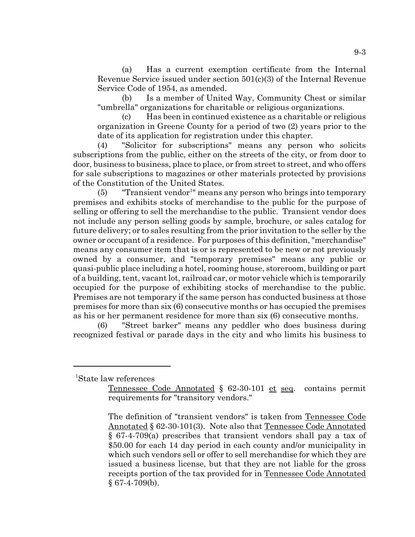(a) Has a current exemption certificate from the Internal Revenue Service issued under section 501(c)(3) of the Internal Revenue Service Code of 1954, as amended.

(b) Is a member of United Way, Community Chest or similar "umbrella" organizations for charitable or religious organizations.

(c) Has been in continued existence as a charitable or religious organization in Greene County for a period of two (2) years prior to the date of its application for registration under this chapter.

(4) "Solicitor for subscriptions" means any person who solicits subscriptions from the public, either on the streets of the city, or from door to door, business to business, place to place, or from street to street, and who offers for sale subscriptions to magazines or other materials protected by provisions of the Constitution of the United States.

 $(5)$  "Transient vendor<sup>1</sup>" means any person who brings into temporary premises and exhibits stocks of merchandise to the public for the purpose of selling or offering to sell the merchandise to the public. Transient vendor does not include any person selling goods by sample, brochure, or sales catalog for future delivery; or to sales resulting from the prior invitation to the seller by the owner or occupant of a residence. For purposes of this definition, "merchandise" means any consumer item that is or is represented to be new or not previously owned by a consumer, and "temporary premises" means any public or quasi-public place including a hotel, rooming house, storeroom, building or part of a building, tent, vacant lot, railroad car, or motor vehicle which is temporarily occupied for the purpose of exhibiting stocks of merchandise to the public. Premises are not temporary if the same person has conducted business at those premises for more than six (6) consecutive months or has occupied the premises as his or her permanent residence for more than six (6) consecutive months.

(6) "Street barker" means any peddler who does business during recognized festival or parade days in the city and who limits his business to

1 State law references

Tennessee Code Annotated § 62-30-101 et seq. contains permit requirements for "transitory vendors."

The definition of "transient vendors" is taken from Tennessee Code Annotated § 62-30-101(3). Note also that Tennessee Code Annotated § 67-4-709(a) prescribes that transient vendors shall pay a tax of \$50.00 for each 14 day period in each county and/or municipality in which such vendors sell or offer to sell merchandise for which they are issued a business license, but that they are not liable for the gross receipts portion of the tax provided for in Tennessee Code Annotated  $§$  67-4-709(b).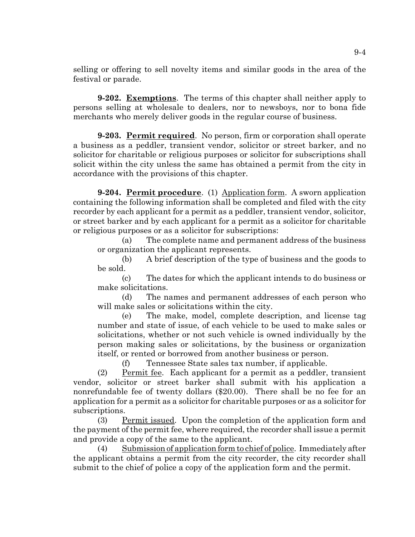selling or offering to sell novelty items and similar goods in the area of the festival or parade.

**9-202. Exemptions**. The terms of this chapter shall neither apply to persons selling at wholesale to dealers, nor to newsboys, nor to bona fide merchants who merely deliver goods in the regular course of business.

**9-203. Permit required**. No person, firm or corporation shall operate a business as a peddler, transient vendor, solicitor or street barker, and no solicitor for charitable or religious purposes or solicitor for subscriptions shall solicit within the city unless the same has obtained a permit from the city in accordance with the provisions of this chapter.

**9-204. Permit procedure.** (1) Application form. A sworn application containing the following information shall be completed and filed with the city recorder by each applicant for a permit as a peddler, transient vendor, solicitor, or street barker and by each applicant for a permit as a solicitor for charitable or religious purposes or as a solicitor for subscriptions:

(a) The complete name and permanent address of the business or organization the applicant represents.

(b) A brief description of the type of business and the goods to be sold.

(c) The dates for which the applicant intends to do business or make solicitations.

(d) The names and permanent addresses of each person who will make sales or solicitations within the city.

(e) The make, model, complete description, and license tag number and state of issue, of each vehicle to be used to make sales or solicitations, whether or not such vehicle is owned individually by the person making sales or solicitations, by the business or organization itself, or rented or borrowed from another business or person.

(f) Tennessee State sales tax number, if applicable.

(2) Permit fee. Each applicant for a permit as a peddler, transient vendor, solicitor or street barker shall submit with his application a nonrefundable fee of twenty dollars (\$20.00). There shall be no fee for an application for a permit as a solicitor for charitable purposes or as a solicitor for subscriptions.

(3) Permit issued. Upon the completion of the application form and the payment of the permit fee, where required, the recorder shall issue a permit and provide a copy of the same to the applicant.

(4) Submission of application form to chief of police. Immediately after the applicant obtains a permit from the city recorder, the city recorder shall submit to the chief of police a copy of the application form and the permit.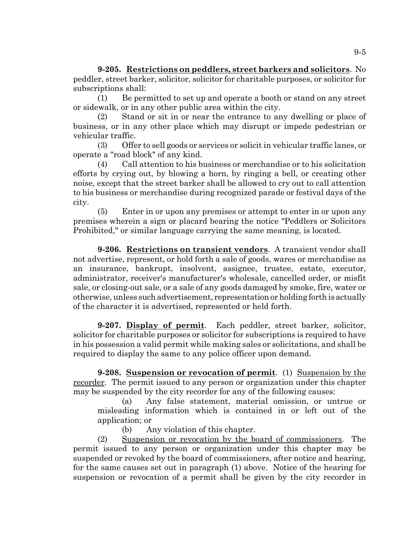**9-205. Restrictions on peddlers, street barkers and solicitors**. No peddler, street barker, solicitor, solicitor for charitable purposes, or solicitor for subscriptions shall:

(1) Be permitted to set up and operate a booth or stand on any street or sidewalk, or in any other public area within the city.

(2) Stand or sit in or near the entrance to any dwelling or place of business, or in any other place which may disrupt or impede pedestrian or vehicular traffic.

(3) Offer to sell goods or services or solicit in vehicular traffic lanes, or operate a "road block" of any kind.

(4) Call attention to his business or merchandise or to his solicitation efforts by crying out, by blowing a horn, by ringing a bell, or creating other noise, except that the street barker shall be allowed to cry out to call attention to his business or merchandise during recognized parade or festival days of the city.

(5) Enter in or upon any premises or attempt to enter in or upon any premises wherein a sign or placard bearing the notice "Peddlers or Solicitors Prohibited," or similar language carrying the same meaning, is located.

**9-206. Restrictions on transient vendors**. A transient vendor shall not advertise, represent, or hold forth a sale of goods, wares or merchandise as an insurance, bankrupt, insolvent, assignee, trustee, estate, executor, administrator, receiver's manufacturer's wholesale, cancelled order, or misfit sale, or closing-out sale, or a sale of any goods damaged by smoke, fire, water or otherwise, unless such advertisement, representation or holding forth is actually of the character it is advertised, represented or held forth.

**9-207. Display of permit**. Each peddler, street barker, solicitor, solicitor for charitable purposes or solicitor for subscriptions is required to have in his possession a valid permit while making sales or solicitations, and shall be required to display the same to any police officer upon demand.

**9-208. Suspension or revocation of permit**. (1) Suspension by the recorder. The permit issued to any person or organization under this chapter may be suspended by the city recorder for any of the following causes:

(a) Any false statement, material omission, or untrue or misleading information which is contained in or left out of the application; or

(b) Any violation of this chapter.

(2) Suspension or revocation by the board of commissioners. The permit issued to any person or organization under this chapter may be suspended or revoked by the board of commissioners, after notice and hearing, for the same causes set out in paragraph (1) above. Notice of the hearing for suspension or revocation of a permit shall be given by the city recorder in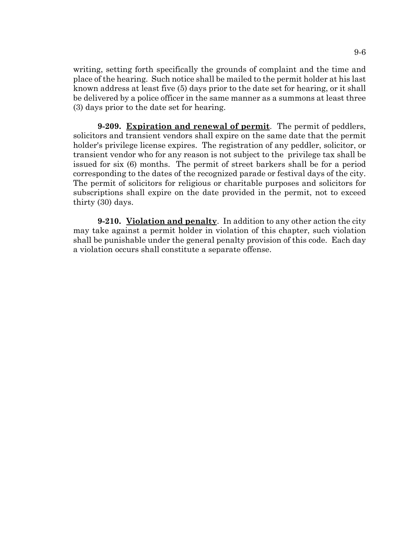writing, setting forth specifically the grounds of complaint and the time and place of the hearing. Such notice shall be mailed to the permit holder at his last known address at least five (5) days prior to the date set for hearing, or it shall be delivered by a police officer in the same manner as a summons at least three (3) days prior to the date set for hearing.

**9-209. Expiration and renewal of permit**. The permit of peddlers, solicitors and transient vendors shall expire on the same date that the permit holder's privilege license expires. The registration of any peddler, solicitor, or transient vendor who for any reason is not subject to the privilege tax shall be issued for six (6) months. The permit of street barkers shall be for a period corresponding to the dates of the recognized parade or festival days of the city. The permit of solicitors for religious or charitable purposes and solicitors for subscriptions shall expire on the date provided in the permit, not to exceed thirty (30) days.

**9-210. Violation and penalty**. In addition to any other action the city may take against a permit holder in violation of this chapter, such violation shall be punishable under the general penalty provision of this code. Each day a violation occurs shall constitute a separate offense.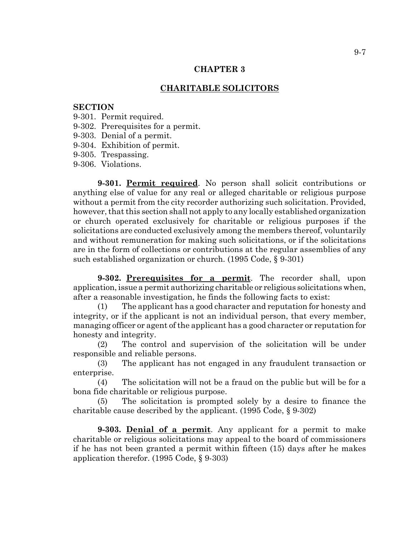## **CHARITABLE SOLICITORS**

#### **SECTION**

- 9-301. Permit required.
- 9-302. Prerequisites for a permit.
- 9-303. Denial of a permit.
- 9-304. Exhibition of permit.
- 9-305. Trespassing.
- 9-306. Violations.

**9-301. Permit required**. No person shall solicit contributions or anything else of value for any real or alleged charitable or religious purpose without a permit from the city recorder authorizing such solicitation. Provided, however, that this section shall not apply to any locally established organization or church operated exclusively for charitable or religious purposes if the solicitations are conducted exclusively among the members thereof, voluntarily and without remuneration for making such solicitations, or if the solicitations are in the form of collections or contributions at the regular assemblies of any such established organization or church. (1995 Code, § 9-301)

**9-302. Prerequisites for a permit**. The recorder shall, upon application, issue a permit authorizing charitable or religious solicitations when, after a reasonable investigation, he finds the following facts to exist:

(1) The applicant has a good character and reputation for honesty and integrity, or if the applicant is not an individual person, that every member, managing officer or agent of the applicant has a good character or reputation for honesty and integrity.

(2) The control and supervision of the solicitation will be under responsible and reliable persons.

(3) The applicant has not engaged in any fraudulent transaction or enterprise.

(4) The solicitation will not be a fraud on the public but will be for a bona fide charitable or religious purpose.

(5) The solicitation is prompted solely by a desire to finance the charitable cause described by the applicant. (1995 Code, § 9-302)

**9-303. Denial of a permit**. Any applicant for a permit to make charitable or religious solicitations may appeal to the board of commissioners if he has not been granted a permit within fifteen (15) days after he makes application therefor. (1995 Code, § 9-303)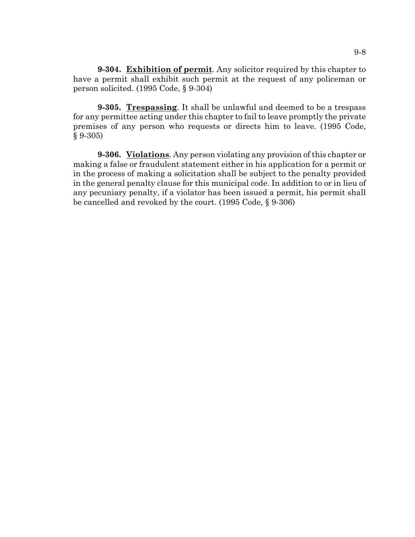**9-304. Exhibition of permit**. Any solicitor required by this chapter to have a permit shall exhibit such permit at the request of any policeman or person solicited. (1995 Code, § 9-304)

**9-305. Trespassing**. It shall be unlawful and deemed to be a trespass for any permittee acting under this chapter to fail to leave promptly the private premises of any person who requests or directs him to leave. (1995 Code, § 9-305)

**9-306. Violations**. Any person violating any provision of this chapter or making a false or fraudulent statement either in his application for a permit or in the process of making a solicitation shall be subject to the penalty provided in the general penalty clause for this municipal code. In addition to or in lieu of any pecuniary penalty, if a violator has been issued a permit, his permit shall be cancelled and revoked by the court. (1995 Code, § 9-306)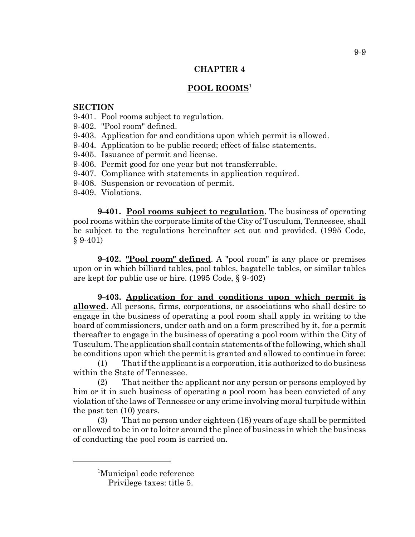# **POOL ROOMS<sup>1</sup>**

## **SECTION**

- 9-401. Pool rooms subject to regulation.
- 9-402. "Pool room" defined.
- 9-403. Application for and conditions upon which permit is allowed.
- 9-404. Application to be public record; effect of false statements.
- 9-405. Issuance of permit and license.
- 9-406. Permit good for one year but not transferrable.
- 9-407. Compliance with statements in application required.
- 9-408. Suspension or revocation of permit.
- 9-409. Violations.

**9-401.** Pool rooms subject to regulation. The business of operating pool rooms within the corporate limits of the City of Tusculum, Tennessee, shall be subject to the regulations hereinafter set out and provided. (1995 Code, § 9-401)

**9-402. "Pool room" defined**. A "pool room" is any place or premises upon or in which billiard tables, pool tables, bagatelle tables, or similar tables are kept for public use or hire. (1995 Code, § 9-402)

**9-403. Application for and conditions upon which permit is allowed**. All persons, firms, corporations, or associations who shall desire to engage in the business of operating a pool room shall apply in writing to the board of commissioners, under oath and on a form prescribed by it, for a permit thereafter to engage in the business of operating a pool room within the City of Tusculum. The application shall contain statements of the following, which shall be conditions upon which the permit is granted and allowed to continue in force:

(1) That if the applicant is a corporation, it is authorized to do business within the State of Tennessee.

(2) That neither the applicant nor any person or persons employed by him or it in such business of operating a pool room has been convicted of any violation of the laws of Tennessee or any crime involving moral turpitude within the past ten (10) years.

(3) That no person under eighteen (18) years of age shall be permitted or allowed to be in or to loiter around the place of business in which the business of conducting the pool room is carried on.

<sup>1</sup> Municipal code reference

Privilege taxes: title 5.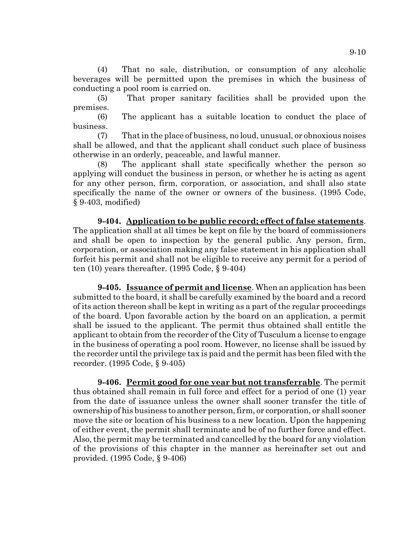(4) That no sale, distribution, or consumption of any alcoholic beverages will be permitted upon the premises in which the business of conducting a pool room is carried on.

(5) That proper sanitary facilities shall be provided upon the premises.

(6) The applicant has a suitable location to conduct the place of business.

(7) That in the place of business, no loud, unusual, or obnoxious noises shall be allowed, and that the applicant shall conduct such place of business otherwise in an orderly, peaceable, and lawful manner.

(8) The applicant shall state specifically whether the person so applying will conduct the business in person, or whether he is acting as agent for any other person, firm, corporation, or association, and shall also state specifically the name of the owner or owners of the business. (1995 Code, § 9-403, modified)

**9-404. Application to be public record; effect of false statements**. The application shall at all times be kept on file by the board of commissioners and shall be open to inspection by the general public. Any person, firm, corporation, or association making any false statement in his application shall forfeit his permit and shall not be eligible to receive any permit for a period of ten (10) years thereafter. (1995 Code, § 9-404)

**9-405. Issuance of permit and license**. When an application has been submitted to the board, it shall be carefully examined by the board and a record of its action thereon shall be kept in writing as a part of the regular proceedings of the board. Upon favorable action by the board on an application, a permit shall be issued to the applicant. The permit thus obtained shall entitle the applicant to obtain from the recorder of the City of Tusculum a license to engage in the business of operating a pool room. However, no license shall be issued by the recorder until the privilege tax is paid and the permit has been filed with the recorder. (1995 Code, § 9-405)

**9-406. Permit good for one year but not transferrable**. The permit thus obtained shall remain in full force and effect for a period of one (1) year from the date of issuance unless the owner shall sooner transfer the title of ownership of his business to another person, firm, or corporation, or shall sooner move the site or location of his business to a new location. Upon the happening of either event, the permit shall terminate and be of no further force and effect. Also, the permit may be terminated and cancelled by the board for any violation of the provisions of this chapter in the manner as hereinafter set out and provided. (1995 Code, § 9-406)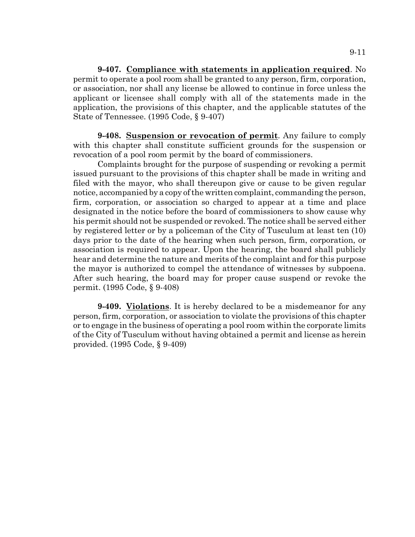**9-407. Compliance with statements in application required**. No permit to operate a pool room shall be granted to any person, firm, corporation, or association, nor shall any license be allowed to continue in force unless the applicant or licensee shall comply with all of the statements made in the application, the provisions of this chapter, and the applicable statutes of the State of Tennessee. (1995 Code, § 9-407)

**9-408. Suspension or revocation of permit**. Any failure to comply with this chapter shall constitute sufficient grounds for the suspension or revocation of a pool room permit by the board of commissioners.

Complaints brought for the purpose of suspending or revoking a permit issued pursuant to the provisions of this chapter shall be made in writing and filed with the mayor, who shall thereupon give or cause to be given regular notice, accompanied by a copy of the written complaint, commanding the person, firm, corporation, or association so charged to appear at a time and place designated in the notice before the board of commissioners to show cause why his permit should not be suspended or revoked. The notice shall be served either by registered letter or by a policeman of the City of Tusculum at least ten (10) days prior to the date of the hearing when such person, firm, corporation, or association is required to appear. Upon the hearing, the board shall publicly hear and determine the nature and merits of the complaint and for this purpose the mayor is authorized to compel the attendance of witnesses by subpoena. After such hearing, the board may for proper cause suspend or revoke the permit. (1995 Code, § 9-408)

**9-409. Violations**. It is hereby declared to be a misdemeanor for any person, firm, corporation, or association to violate the provisions of this chapter or to engage in the business of operating a pool room within the corporate limits of the City of Tusculum without having obtained a permit and license as herein provided. (1995 Code, § 9-409)